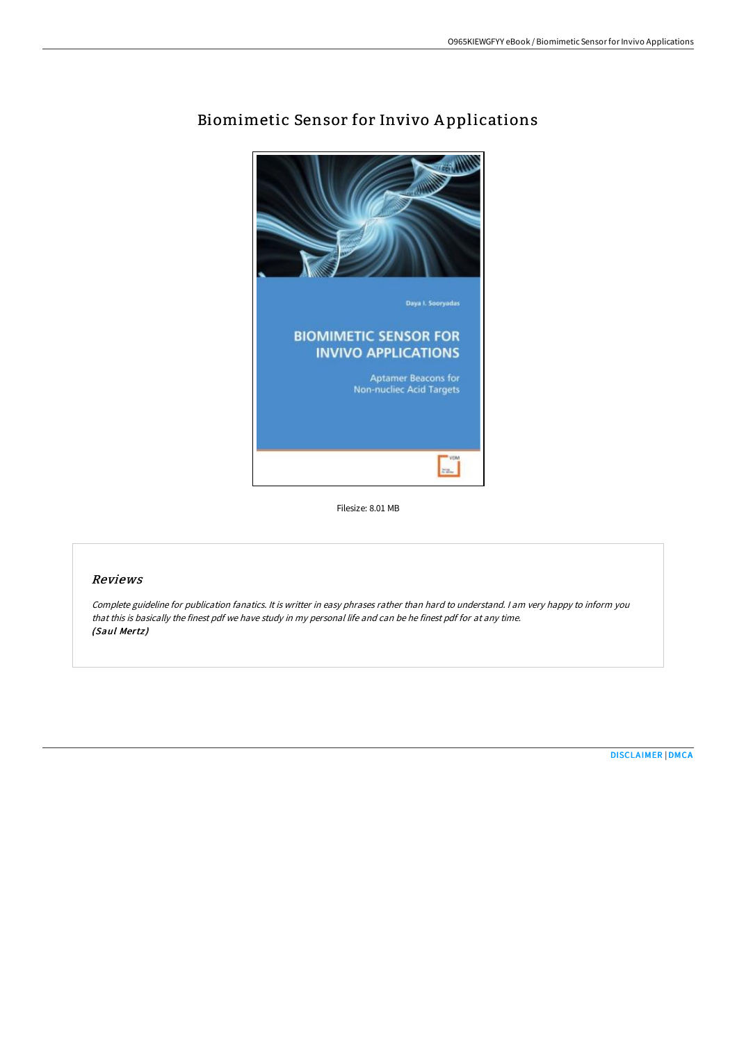

# Biomimetic Sensor for Invivo A pplications

Filesize: 8.01 MB

### Reviews

Complete guideline for publication fanatics. It is writter in easy phrases rather than hard to understand. <sup>I</sup> am very happy to inform you that this is basically the finest pdf we have study in my personal life and can be he finest pdf for at any time. (Saul Mertz)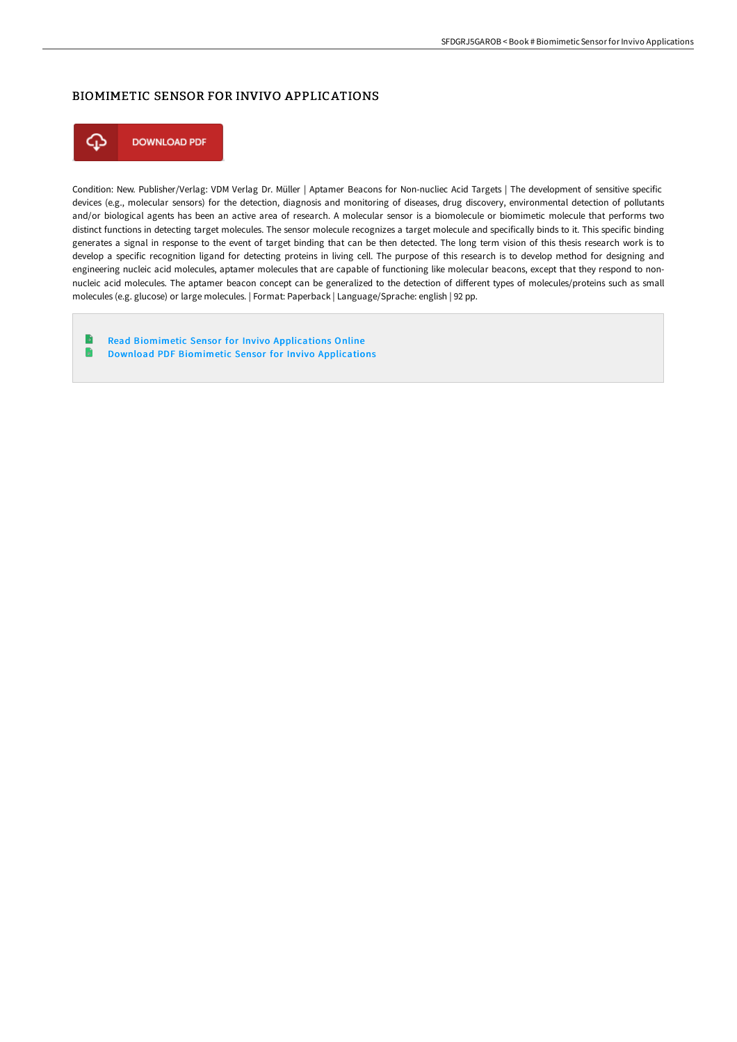#### BIOMIMETIC SENSOR FOR INVIVO APPLICATIONS



Condition: New. Publisher/Verlag: VDM Verlag Dr. Müller | Aptamer Beacons for Non-nucliec Acid Targets | The development of sensitive specific devices (e.g., molecular sensors) for the detection, diagnosis and monitoring of diseases, drug discovery, environmental detection of pollutants and/or biological agents has been an active area of research. A molecular sensor is a biomolecule or biomimetic molecule that performs two distinct functions in detecting target molecules. The sensor molecule recognizes a target molecule and specifically binds to it. This specific binding generates a signal in response to the event of target binding that can be then detected. The long term vision of this thesis research work is to develop a specific recognition ligand for detecting proteins in living cell. The purpose of this research is to develop method for designing and engineering nucleic acid molecules, aptamer molecules that are capable of functioning like molecular beacons, except that they respond to nonnucleic acid molecules. The aptamer beacon concept can be generalized to the detection of different types of molecules/proteins such as small molecules (e.g. glucose) or large molecules. | Format: Paperback | Language/Sprache: english | 92 pp.

- B Read Biomimetic Sensor for Invivo [Applications](http://albedo.media/biomimetic-sensor-for-invivo-applications.html) Online
- B Download PDF Biomimetic Sensor for Invivo [Applications](http://albedo.media/biomimetic-sensor-for-invivo-applications.html)